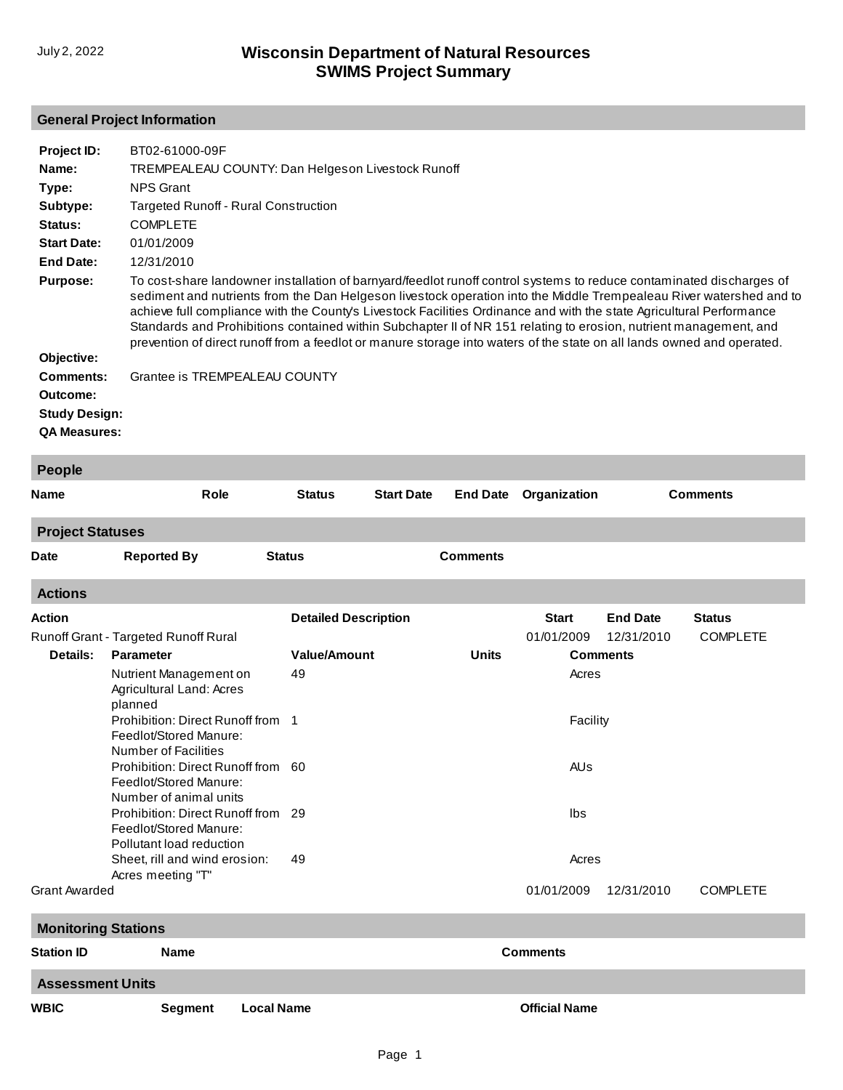## **General Project Information**

| Project ID:<br>Name:         | BT02-61000-09F                                                                         | TREMPEALEAU COUNTY: Dan Helgeson Livestock Runoff                                                                                                                                                                                                                                                                                                                                                                                                                                                                                                                                                                  |                   |                 |                 |                 |                 |  |  |  |  |  |  |
|------------------------------|----------------------------------------------------------------------------------------|--------------------------------------------------------------------------------------------------------------------------------------------------------------------------------------------------------------------------------------------------------------------------------------------------------------------------------------------------------------------------------------------------------------------------------------------------------------------------------------------------------------------------------------------------------------------------------------------------------------------|-------------------|-----------------|-----------------|-----------------|-----------------|--|--|--|--|--|--|
| Type:<br>Subtype:<br>Status: | <b>COMPLETE</b>                                                                        | <b>NPS Grant</b><br>Targeted Runoff - Rural Construction                                                                                                                                                                                                                                                                                                                                                                                                                                                                                                                                                           |                   |                 |                 |                 |                 |  |  |  |  |  |  |
| <b>Start Date:</b>           | 01/01/2009                                                                             |                                                                                                                                                                                                                                                                                                                                                                                                                                                                                                                                                                                                                    |                   |                 |                 |                 |                 |  |  |  |  |  |  |
| <b>End Date:</b>             | 12/31/2010                                                                             |                                                                                                                                                                                                                                                                                                                                                                                                                                                                                                                                                                                                                    |                   |                 |                 |                 |                 |  |  |  |  |  |  |
| <b>Purpose:</b>              |                                                                                        | To cost-share landowner installation of barnyard/feedlot runoff control systems to reduce contaminated discharges of<br>sediment and nutrients from the Dan Helgeson livestock operation into the Middle Trempealeau River watershed and to<br>achieve full compliance with the County's Livestock Facilities Ordinance and with the state Agricultural Performance<br>Standards and Prohibitions contained within Subchapter II of NR 151 relating to erosion, nutrient management, and<br>prevention of direct runoff from a feedlot or manure storage into waters of the state on all lands owned and operated. |                   |                 |                 |                 |                 |  |  |  |  |  |  |
| Objective:                   |                                                                                        |                                                                                                                                                                                                                                                                                                                                                                                                                                                                                                                                                                                                                    |                   |                 |                 |                 |                 |  |  |  |  |  |  |
| <b>Comments:</b>             |                                                                                        | Grantee is TREMPEALEAU COUNTY                                                                                                                                                                                                                                                                                                                                                                                                                                                                                                                                                                                      |                   |                 |                 |                 |                 |  |  |  |  |  |  |
| Outcome:                     |                                                                                        |                                                                                                                                                                                                                                                                                                                                                                                                                                                                                                                                                                                                                    |                   |                 |                 |                 |                 |  |  |  |  |  |  |
| <b>Study Design:</b>         |                                                                                        |                                                                                                                                                                                                                                                                                                                                                                                                                                                                                                                                                                                                                    |                   |                 |                 |                 |                 |  |  |  |  |  |  |
| <b>QA Measures:</b>          |                                                                                        |                                                                                                                                                                                                                                                                                                                                                                                                                                                                                                                                                                                                                    |                   |                 |                 |                 |                 |  |  |  |  |  |  |
| People                       |                                                                                        |                                                                                                                                                                                                                                                                                                                                                                                                                                                                                                                                                                                                                    |                   |                 |                 |                 |                 |  |  |  |  |  |  |
| <b>Name</b>                  | <b>Role</b>                                                                            | <b>Status</b>                                                                                                                                                                                                                                                                                                                                                                                                                                                                                                                                                                                                      | <b>Start Date</b> | <b>End Date</b> | Organization    |                 | <b>Comments</b> |  |  |  |  |  |  |
| <b>Project Statuses</b>      |                                                                                        |                                                                                                                                                                                                                                                                                                                                                                                                                                                                                                                                                                                                                    |                   |                 |                 |                 |                 |  |  |  |  |  |  |
| <b>Date</b>                  | <b>Reported By</b>                                                                     | <b>Status</b>                                                                                                                                                                                                                                                                                                                                                                                                                                                                                                                                                                                                      |                   | <b>Comments</b> |                 |                 |                 |  |  |  |  |  |  |
| <b>Actions</b>               |                                                                                        |                                                                                                                                                                                                                                                                                                                                                                                                                                                                                                                                                                                                                    |                   |                 |                 |                 |                 |  |  |  |  |  |  |
| Action                       |                                                                                        | <b>Detailed Description</b>                                                                                                                                                                                                                                                                                                                                                                                                                                                                                                                                                                                        |                   |                 | <b>Start</b>    | <b>End Date</b> | <b>Status</b>   |  |  |  |  |  |  |
|                              | Runoff Grant - Targeted Runoff Rural                                                   |                                                                                                                                                                                                                                                                                                                                                                                                                                                                                                                                                                                                                    |                   |                 | 01/01/2009      | 12/31/2010      | <b>COMPLETE</b> |  |  |  |  |  |  |
| Details:                     | <b>Parameter</b>                                                                       | <b>Value/Amount</b><br><b>Units</b>                                                                                                                                                                                                                                                                                                                                                                                                                                                                                                                                                                                |                   |                 | <b>Comments</b> |                 |                 |  |  |  |  |  |  |
|                              | Nutrient Management on<br>Agricultural Land: Acres<br>planned                          | 49                                                                                                                                                                                                                                                                                                                                                                                                                                                                                                                                                                                                                 |                   |                 | Acres           |                 |                 |  |  |  |  |  |  |
|                              | Prohibition: Direct Runoff from<br>Feedlot/Stored Manure:<br>Number of Facilities      | $\overline{1}$                                                                                                                                                                                                                                                                                                                                                                                                                                                                                                                                                                                                     |                   |                 | Facility        |                 |                 |  |  |  |  |  |  |
|                              | Prohibition: Direct Runoff from 60<br>Feedlot/Stored Manure:<br>Number of animal units |                                                                                                                                                                                                                                                                                                                                                                                                                                                                                                                                                                                                                    |                   |                 | AUs<br>Ibs      |                 |                 |  |  |  |  |  |  |
|                              | Prohibition: Direct Runoff from 29<br>Feedlot/Stored Manure:                           |                                                                                                                                                                                                                                                                                                                                                                                                                                                                                                                                                                                                                    |                   |                 |                 |                 |                 |  |  |  |  |  |  |
|                              | Pollutant load reduction<br>Sheet, rill and wind erosion:<br>Acres meeting "T"         | 49                                                                                                                                                                                                                                                                                                                                                                                                                                                                                                                                                                                                                 |                   |                 | Acres           |                 |                 |  |  |  |  |  |  |
| Grant Awarded                |                                                                                        |                                                                                                                                                                                                                                                                                                                                                                                                                                                                                                                                                                                                                    |                   |                 | 01/01/2009      | 12/31/2010      | <b>COMPLETE</b> |  |  |  |  |  |  |
| <b>Monitoring Stations</b>   |                                                                                        |                                                                                                                                                                                                                                                                                                                                                                                                                                                                                                                                                                                                                    |                   |                 |                 |                 |                 |  |  |  |  |  |  |
| <b>Station ID</b>            | <b>Name</b>                                                                            | <b>Comments</b>                                                                                                                                                                                                                                                                                                                                                                                                                                                                                                                                                                                                    |                   |                 |                 |                 |                 |  |  |  |  |  |  |

**Assessment Units**